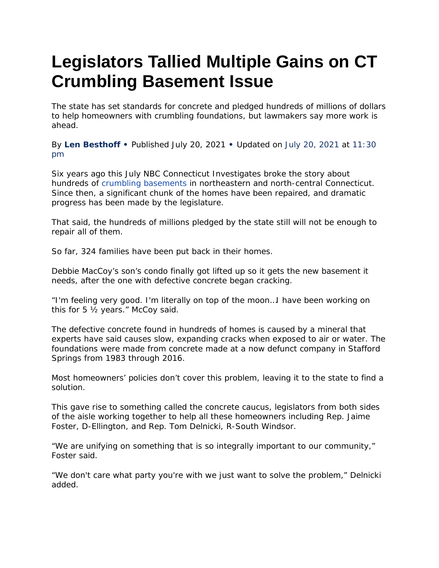## **Legislators Tallied Multiple Gains on CT Crumbling Basement Issue**

The state has set standards for concrete and pledged hundreds of millions of dollars to help homeowners with crumbling foundations, but lawmakers say more work is ahead.

By **Len [Besthoff](https://www.nbcconnecticut.com/?s=Author%3A%20%22Len%20Besthoff%22) •** Published July 20, 2021 **•** Updated on July 20, 2021 at 11:30 pm

Six years ago this July NBC Connecticut Investigates broke the story about hundreds of crumbling [basements](https://www.nbcconnecticut.com/tag/crumbling-foundations/) in northeastern and north-central Connecticut. Since then, a significant chunk of the homes have been repaired, and dramatic progress has been made by the legislature.

That said, the hundreds of millions pledged by the state still will not be enough to repair all of them.

So far, 324 families have been put back in their homes.

Debbie MacCoy's son's condo finally got lifted up so it gets the new basement it needs, after the one with defective concrete began cracking.

"I'm feeling very good. I'm literally on top of the moon…I have been working on this for 5 ½ years." McCoy said.

The defective concrete found in hundreds of homes is caused by a mineral that experts have said causes slow, expanding cracks when exposed to air or water. The foundations were made from concrete made at a now defunct company in Stafford Springs from 1983 through 2016.

Most homeowners' policies don't cover this problem, leaving it to the state to find a solution.

This gave rise to something called the concrete caucus, legislators from both sides of the aisle working together to help all these homeowners including Rep. Jaime Foster, D-Ellington, and Rep. Tom Delnicki, R-South Windsor.

"We are unifying on something that is so integrally important to our community," Foster said.

"We don't care what party you're with we just want to solve the problem," Delnicki added.